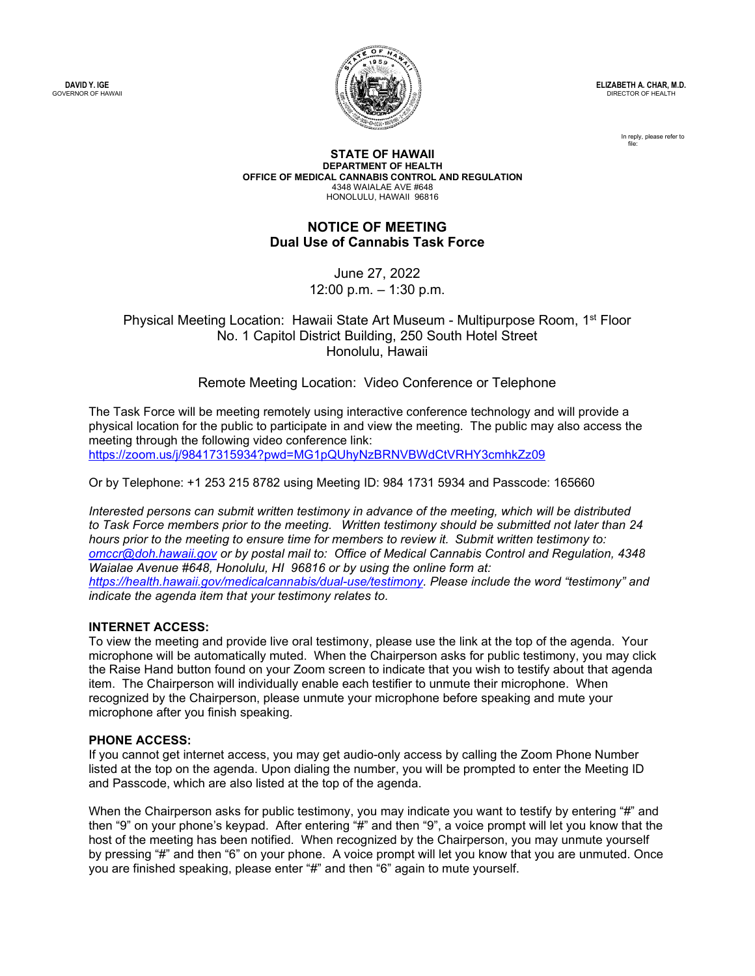**DAVID Y. IGE** GOVERNOR OF HAWAII



**ELIZABETH A. CHAR, M.D.** DIRECTOR OF HEALTH

> In reply, please refer to file:

**STATE OF HAWAII DEPARTMENT OF HEALTH OFFICE OF MEDICAL CANNABIS CONTROL AND REGULATION** 4348 WAIALAE AVE #648 HONOLULU, HAWAII 96816

## **NOTICE OF MEETING Dual Use of Cannabis Task Force**

June 27, 2022 12:00 p.m. – 1:30 p.m.

Physical Meeting Location: Hawaii State Art Museum - Multipurpose Room, 1<sup>st</sup> Floor No. 1 Capitol District Building, 250 South Hotel Street Honolulu, Hawaii

Remote Meeting Location: Video Conference or Telephone

The Task Force will be meeting remotely using interactive conference technology and will provide a physical location for the public to participate in and view the meeting. The public may also access the meeting through the following video conference link: <https://zoom.us/j/98417315934?pwd=MG1pQUhyNzBRNVBWdCtVRHY3cmhkZz09>

Or by Telephone: +1 253 215 8782 using Meeting ID: 984 1731 5934 and Passcode: 165660

*Interested persons can submit written testimony in advance of the meeting, which will be distributed to Task Force members prior to the meeting.  Written testimony should be submitted not later than 24 hours prior to the meeting to ensure time for members to review it.  Submit written testimony to: [omccr@doh.hawaii.gov](mailto:omccr@doh.hawaii.gov) or by postal mail to: Office of Medical Cannabis Control and Regulation, 4348 Waialae Avenue #648, Honolulu, HI 96816 or by using the online form at: [https://health.hawaii.gov/medicalcannabis/dual](https://health.hawaii.gov/medicalcannabis/dual-use/testimony)-use/testimony. Please include the word "testimony" and indicate the agenda item that your testimony relates to.*

## **INTERNET ACCESS:**

To view the meeting and provide live oral testimony, please use the link at the top of the agenda. Your microphone will be automatically muted. When the Chairperson asks for public testimony, you may click the Raise Hand button found on your Zoom screen to indicate that you wish to testify about that agenda item. The Chairperson will individually enable each testifier to unmute their microphone. When recognized by the Chairperson, please unmute your microphone before speaking and mute your microphone after you finish speaking.

## **PHONE ACCESS:**

If you cannot get internet access, you may get audio-only access by calling the Zoom Phone Number listed at the top on the agenda. Upon dialing the number, you will be prompted to enter the Meeting ID and Passcode, which are also listed at the top of the agenda.

When the Chairperson asks for public testimony, you may indicate you want to testify by entering "#" and then "9" on your phone's keypad. After entering "#" and then "9", a voice prompt will let you know that the host of the meeting has been notified. When recognized by the Chairperson, you may unmute yourself by pressing "#" and then "6" on your phone. A voice prompt will let you know that you are unmuted. Once you are finished speaking, please enter "#" and then "6" again to mute yourself.